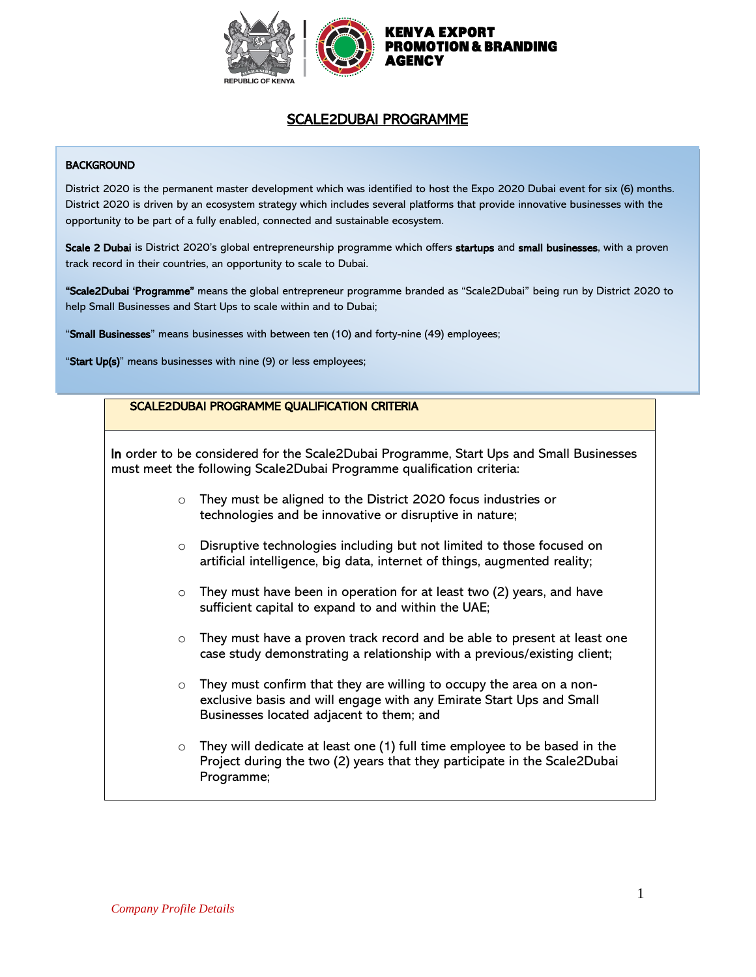

# SCALE2DUBAI PROGRAMME

#### **BACKGROUND**

District 2020 is the permanent master development which was identified to host the Expo 2020 Dubai event for six (6) months. District 2020 is driven by an ecosystem strategy which includes several platforms that provide innovative businesses with the opportunity to be part of a fully enabled, connected and sustainable ecosystem.

Scale 2 Dubai is District 2020's global entrepreneurship programme which offers startups and small businesses, with a proven track record in their countries, an opportunity to scale to Dubai.

"Scale2Dubai 'Programme" means the global entrepreneur programme branded as "Scale2Dubai" being run by District 2020 to help Small Businesses and Start Ups to scale within and to Dubai;

"Small Businesses" means businesses with between ten (10) and forty-nine (49) employees;

"Start Up(s)" means businesses with nine (9) or less employees;

# SCALE2DUBAI PROGRAMME QUALIFICATION CRITERIA In order to be considered for the Scale2Dubai Programme, Start Ups and Small Businesses must meet the following Scale2Dubai Programme qualification criteria: o They must be aligned to the District 2020 focus industries or technologies and be innovative or disruptive in nature; o Disruptive technologies including but not limited to those focused on artificial intelligence, big data, internet of things, augmented reality;  $\circ$  They must have been in operation for at least two (2) years, and have sufficient capital to expand to and within the UAE; o They must have a proven track record and be able to present at least one case study demonstrating a relationship with a previous/existing client; o They must confirm that they are willing to occupy the area on a nonexclusive basis and will engage with any Emirate Start Ups and Small Businesses located adjacent to them; and  $\circ$  They will dedicate at least one (1) full time employee to be based in the Project during the two (2) years that they participate in the Scale2Dubai Programme;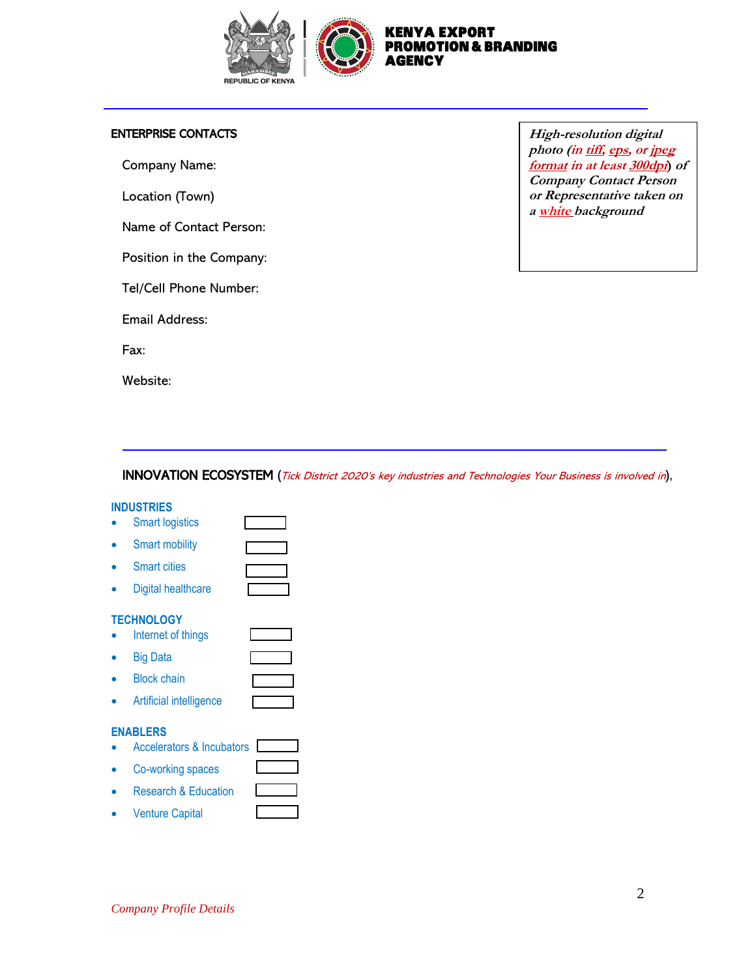

## ENTERPRISE CONTACTS

Company Name:

L

Location (Town)

Name of Contact Person:

Position in the Company:

Tel/Cell Phone Number:

Email Address:

Fax:

Website:

**High-resolution digital photo (in tiff, eps, or jpeg format in at least 300dpi) of Company Contact Person or Representative taken on a white background**

## INNOVATION ECOSYSTEM (Tick District 2020's key industries and Technologies Your Business is involved in),

#### **INDUSTRIES**

| <b>Smart logistics</b>               |  |
|--------------------------------------|--|
| <b>Smart mobility</b>                |  |
| <b>Smart cities</b>                  |  |
| Digital healthcare                   |  |
| <b>TECHNOLOGY</b>                    |  |
| Internet of things                   |  |
| <b>Big Data</b>                      |  |
| <b>Block chain</b>                   |  |
| Artificial intelligence              |  |
| <b>ENABLERS</b>                      |  |
| <b>Accelerators &amp; Incubators</b> |  |
| Co-working spaces                    |  |
| <b>Research &amp; Education</b>      |  |

**Venture Capital**